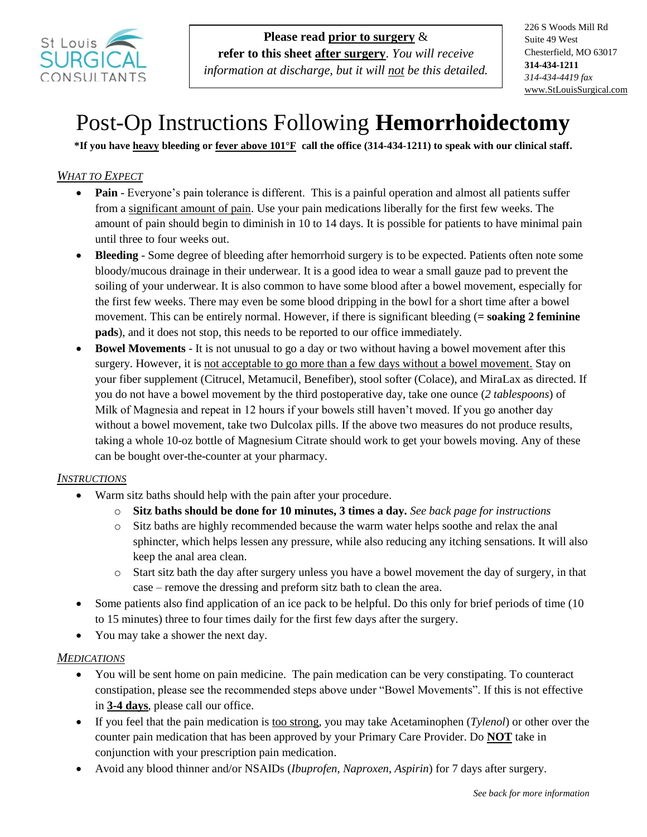

**Please read prior to surgery** & **refer to this sheet after surgery**. *You will receive information at discharge, but it will not be this detailed.* 226 S Woods Mill Rd Suite 49 West Chesterfield, MO 63017 **314-434-1211** *314-434-4419 fax* www.StLouisSurgical.com

# Post-Op Instructions Following **Hemorrhoidectomy**

**\*If you have heavy bleeding or fever above 101°F call the office (314-434-1211) to speak with our clinical staff.**

### *WHAT TO EXPECT*

- **Pain** Everyone's pain tolerance is different. This is a painful operation and almost all patients suffer from a significant amount of pain. Use your pain medications liberally for the first few weeks. The amount of pain should begin to diminish in 10 to 14 days. It is possible for patients to have minimal pain until three to four weeks out.
- **Bleeding** Some degree of bleeding after hemorrhoid surgery is to be expected. Patients often note some bloody/mucous drainage in their underwear. It is a good idea to wear a small gauze pad to prevent the soiling of your underwear. It is also common to have some blood after a bowel movement, especially for the first few weeks. There may even be some blood dripping in the bowl for a short time after a bowel movement. This can be entirely normal. However, if there is significant bleeding (**= soaking 2 feminine pads**), and it does not stop, this needs to be reported to our office immediately.
- **Bowel Movements** It is not unusual to go a day or two without having a bowel movement after this surgery. However, it is not acceptable to go more than a few days without a bowel movement. Stay on your fiber supplement (Citrucel, Metamucil, Benefiber), stool softer (Colace), and MiraLax as directed. If you do not have a bowel movement by the third postoperative day, take one ounce (*2 tablespoons*) of Milk of Magnesia and repeat in 12 hours if your bowels still haven't moved. If you go another day without a bowel movement, take two Dulcolax pills. If the above two measures do not produce results, taking a whole 10-oz bottle of Magnesium Citrate should work to get your bowels moving. Any of these can be bought over-the-counter at your pharmacy.

#### *INSTRUCTIONS*

- Warm sitz baths should help with the pain after your procedure.
	- o **Sitz baths should be done for 10 minutes, 3 times a day.** *See back page for instructions*
	- o Sitz baths are highly recommended because the warm water helps soothe and relax the anal sphincter, which helps lessen any pressure, while also reducing any itching sensations. It will also keep the anal area clean.
	- o Start sitz bath the day after surgery unless you have a bowel movement the day of surgery, in that case – remove the dressing and preform sitz bath to clean the area.
- Some patients also find application of an ice pack to be helpful. Do this only for brief periods of time (10 to 15 minutes) three to four times daily for the first few days after the surgery.
- You may take a shower the next day.

### *MEDICATIONS*

- You will be sent home on pain medicine. The pain medication can be very constipating. To counteract constipation, please see the recommended steps above under "Bowel Movements". If this is not effective in **3-4 days**, please call our office.
- If you feel that the pain medication is too strong, you may take Acetaminophen (*Tylenol*) or other over the counter pain medication that has been approved by your Primary Care Provider. Do **NOT** take in conjunction with your prescription pain medication.
- Avoid any blood thinner and/or NSAIDs (*Ibuprofen, Naproxen, Aspirin*) for 7 days after surgery.